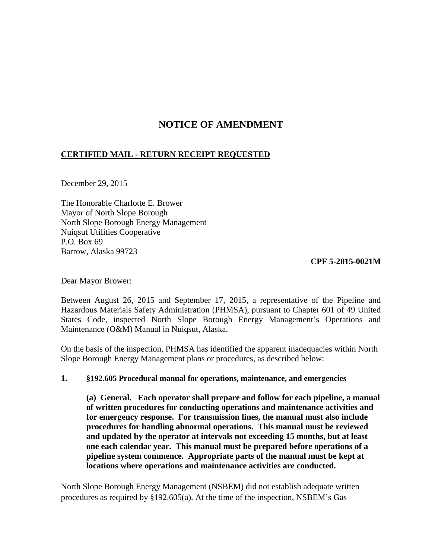# **NOTICE OF AMENDMENT**

### **CERTIFIED MAIL - RETURN RECEIPT REQUESTED**

December 29, 2015

The Honorable Charlotte E. Brower Mayor of North Slope Borough North Slope Borough Energy Management Nuiqsut Utilities Cooperative P.O. Box 69 Barrow, Alaska 99723

**CPF 5-2015-0021M** 

Dear Mayor Brower:

Between August 26, 2015 and September 17, 2015, a representative of the Pipeline and Hazardous Materials Safety Administration (PHMSA), pursuant to Chapter 601 of 49 United States Code, inspected North Slope Borough Energy Management's Operations and Maintenance (O&M) Manual in Nuiqsut, Alaska.

On the basis of the inspection, PHMSA has identified the apparent inadequacies within North Slope Borough Energy Management plans or procedures, as described below:

### **1. §192.605 Procedural manual for operations, maintenance, and emergencies**

**(a) General. Each operator shall prepare and follow for each pipeline, a manual of written procedures for conducting operations and maintenance activities and for emergency response. For transmission lines, the manual must also include procedures for handling abnormal operations. This manual must be reviewed and updated by the operator at intervals not exceeding 15 months, but at least one each calendar year. This manual must be prepared before operations of a pipeline system commence. Appropriate parts of the manual must be kept at locations where operations and maintenance activities are conducted.**

North Slope Borough Energy Management (NSBEM) did not establish adequate written procedures as required by §192.605(a). At the time of the inspection, NSBEM's Gas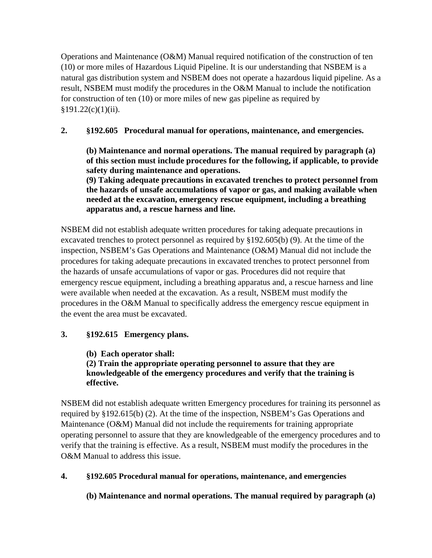Operations and Maintenance (O&M) Manual required notification of the construction of ten (10) or more miles of Hazardous Liquid Pipeline. It is our understanding that NSBEM is a natural gas distribution system and NSBEM does not operate a hazardous liquid pipeline. As a result, NSBEM must modify the procedures in the O&M Manual to include the notification for construction of ten (10) or more miles of new gas pipeline as required by  $§191.22(c)(1)(ii).$ 

## **2. §192.605 Procedural manual for operations, maintenance, and emergencies.**

**(b) Maintenance and normal operations. The manual required by paragraph (a) of this section must include procedures for the following, if applicable, to provide safety during maintenance and operations.** 

**(9) Taking adequate precautions in excavated trenches to protect personnel from the hazards of unsafe accumulations of vapor or gas, and making available when needed at the excavation, emergency rescue equipment, including a breathing apparatus and, a rescue harness and line.**

NSBEM did not establish adequate written procedures for taking adequate precautions in excavated trenches to protect personnel as required by §192.605(b) (9). At the time of the inspection, NSBEM's Gas Operations and Maintenance (O&M) Manual did not include the procedures for taking adequate precautions in excavated trenches to protect personnel from the hazards of unsafe accumulations of vapor or gas. Procedures did not require that emergency rescue equipment, including a breathing apparatus and, a rescue harness and line were available when needed at the excavation. As a result, NSBEM must modify the procedures in the O&M Manual to specifically address the emergency rescue equipment in the event the area must be excavated.

### **3. §192.615 Emergency plans.**

 **(b) Each operator shall:** 

**(2) Train the appropriate operating personnel to assure that they are knowledgeable of the emergency procedures and verify that the training is effective.**

NSBEM did not establish adequate written Emergency procedures for training its personnel as required by §192.615(b) (2). At the time of the inspection, NSBEM's Gas Operations and Maintenance (O&M) Manual did not include the requirements for training appropriate operating personnel to assure that they are knowledgeable of the emergency procedures and to verify that the training is effective. As a result, NSBEM must modify the procedures in the O&M Manual to address this issue.

### **4. §192.605 Procedural manual for operations, maintenance, and emergencies**

**(b) Maintenance and normal operations. The manual required by paragraph (a)**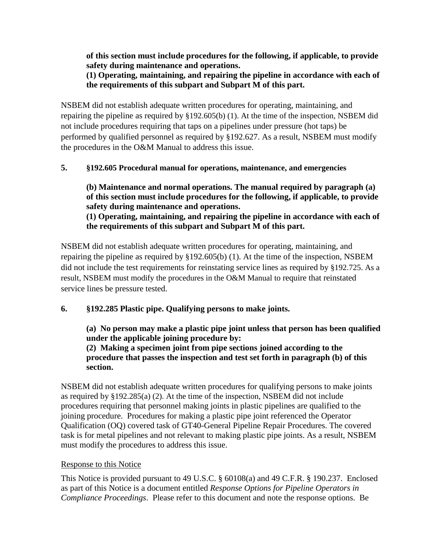**of this section must include procedures for the following, if applicable, to provide safety during maintenance and operations.** 

### **(1) Operating, maintaining, and repairing the pipeline in accordance with each of the requirements of this subpart and Subpart M of this part.**

NSBEM did not establish adequate written procedures for operating, maintaining, and repairing the pipeline as required by §192.605(b) (1). At the time of the inspection, NSBEM did not include procedures requiring that taps on a pipelines under pressure (hot taps) be performed by qualified personnel as required by §192.627. As a result, NSBEM must modify the procedures in the O&M Manual to address this issue.

### **5. §192.605 Procedural manual for operations, maintenance, and emergencies**

**(b) Maintenance and normal operations. The manual required by paragraph (a) of this section must include procedures for the following, if applicable, to provide safety during maintenance and operations. (1) Operating, maintaining, and repairing the pipeline in accordance with each of the requirements of this subpart and Subpart M of this part.**

NSBEM did not establish adequate written procedures for operating, maintaining, and repairing the pipeline as required by §192.605(b) (1). At the time of the inspection, NSBEM did not include the test requirements for reinstating service lines as required by §192.725. As a result, NSBEM must modify the procedures in the O&M Manual to require that reinstated service lines be pressure tested.

### **6. §192.285 Plastic pipe. Qualifying persons to make joints.**

**(a) No person may make a plastic pipe joint unless that person has been qualified under the applicable joining procedure by: (2) Making a specimen joint from pipe sections joined according to the procedure that passes the inspection and test set forth in paragraph (b) of this section.**

NSBEM did not establish adequate written procedures for qualifying persons to make joints as required by §192.285(a) (2). At the time of the inspection, NSBEM did not include procedures requiring that personnel making joints in plastic pipelines are qualified to the joining procedure. Procedures for making a plastic pipe joint referenced the Operator Qualification (OQ) covered task of GT40-General Pipeline Repair Procedures. The covered task is for metal pipelines and not relevant to making plastic pipe joints. As a result, NSBEM must modify the procedures to address this issue.

### Response to this Notice

This Notice is provided pursuant to 49 U.S.C. § 60108(a) and 49 C.F.R. § 190.237. Enclosed as part of this Notice is a document entitled *Response Options for Pipeline Operators in Compliance Proceedings*. Please refer to this document and note the response options. Be